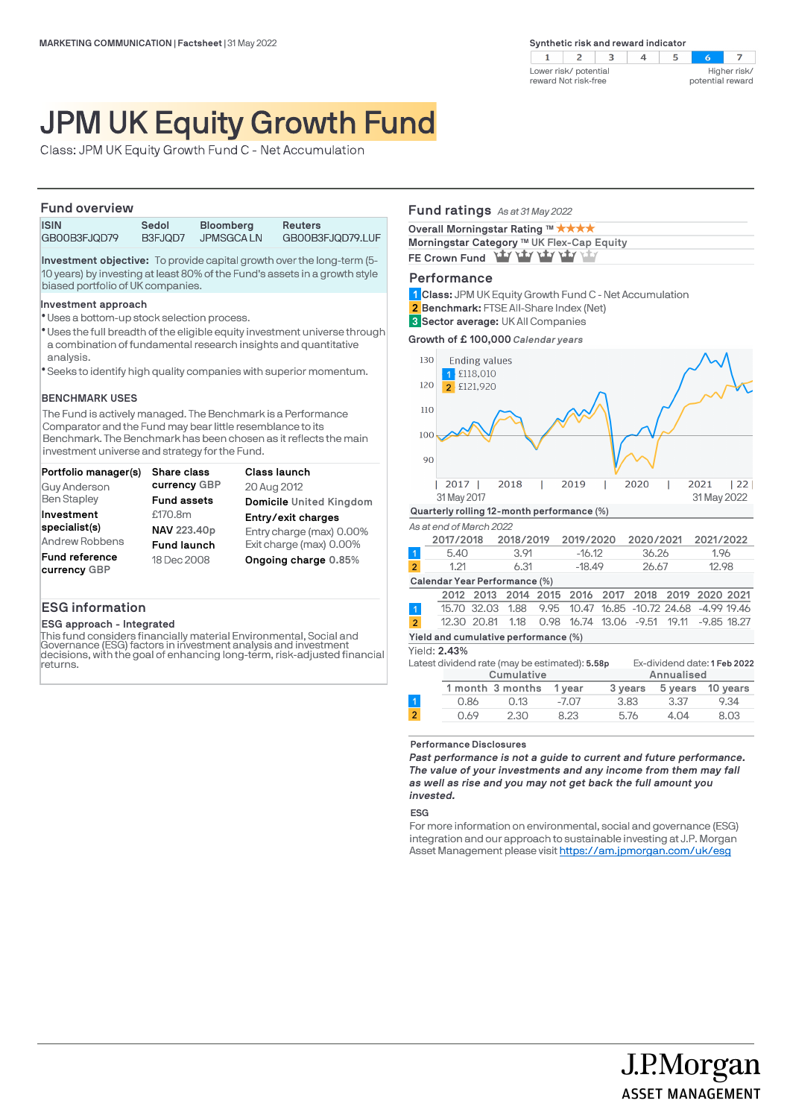$\overline{2}$  $\mathcal{A}$  $\overline{3}$  $\overline{4}$  $\overline{z}$  $\mathbf{1}$  $5^{\circ}$  $\sim$ Higher risk/ Lower risk/ potential reward Not risk-free potential reward

# JPM UK Equity Growth Fund

Class: JPM UK Equity Growth Fund C - Net Accumulation

### **Fund overview**

| <b>ISIN</b>  | Sedol   | <b>Bloomberg</b> | Reuters          |
|--------------|---------|------------------|------------------|
| GB00B3FJQD79 | B3FJQD7 | <b>JPMSGCALN</b> | GB00B3FJQD79.LUF |

**Investment objective:** To provide capital growth over the long-term (5- 10 years) by investing at least 80% of the Fund's assets in a growth style biased portfolio of UK companies.

### **Investment approach**

- Uses a bottom-up stock selection process. l
- \* Uses the full breadth of the eligible equity investment universe through a combination of fundamental research insights and quantitative analysis.
- Seeks to identify high quality companies with superior momentum. l

### **BENCHMARK USES**

The Fund is actively managed. The Benchmark is a Performance Comparator and the Fund may bear little resemblance to its Benchmark. The Benchmark has been chosen as it reflects the main investment universe and strategy for the Fund.

| Portfolio manager(s)  | <b>Share class</b> | <b>Class launch</b>      |
|-----------------------|--------------------|--------------------------|
| Guy Anderson          | currency GBP       | 20 Aug 2012              |
| <b>Ben Stapley</b>    | <b>Fund assets</b> | Domicile United Kingdom  |
| Investment            | £170.8m            | Entry/exit charges       |
| specialist(s)         | NAV 223.40p        | Entry charge (max) 0.00% |
| Andrew Robbens        | <b>Fund launch</b> | Exit charge (max) 0.00%  |
| <b>Fund reference</b> | 18 Dec 2008        | Ongoing charge 0.85%     |
| currency GBP          |                    |                          |

# **ESG information**

# **ESG approach - Integrated**

This fund considers financially material Environmental, Social and Governance (ESG) factors in investment analysis and investment decisions, with the goal of enhancing long-term, risk-adjusted financial returns.

# **Fund ratings** *As at 31 May 2022*

| Overall Morningstar Rating ™ ★★★★         |  |
|-------------------------------------------|--|
| Morningstar Category ™ UK Flex-Cap Equity |  |
| FE Crown Fund Yay Yay Yay Yay Yay         |  |

### **Performance**

**Class:** JPM UK Equity Growth Fund C - Net Accumulation **1**

**Benchmark:** FTSE All-Share Index (Net) **2**

**Sector average:** UK All Companies **3**

**Growth of £ 100,000** *Calendar years*



| Cumulative |                  |         | Annualised |      |                  |
|------------|------------------|---------|------------|------|------------------|
|            | 1 month 3 months | 1 vear  | 3 vears    |      | 5 years 10 years |
| 0.86       | 0.13             | $-7.07$ | 3.83       | 3.37 | 9.34             |
| 0.69       | 2.30             | 8.23    | 5.76       | 4.04 | 8.03             |
|            |                  |         |            |      |                  |

#### **Performance Disclosures**

*Past performance is not a guide to current and future performance. The value of your investments and any income from them may fall as well as rise and you may not get back the full amount you invested.* 

#### **ESG**

 $\overline{2}$ 

For more information on environmental, social and governance (ESG) integration and our approach to sustainable investing at J.P. Morgan Asset Management please visit https://am.jpmorgan.com/uk/esg

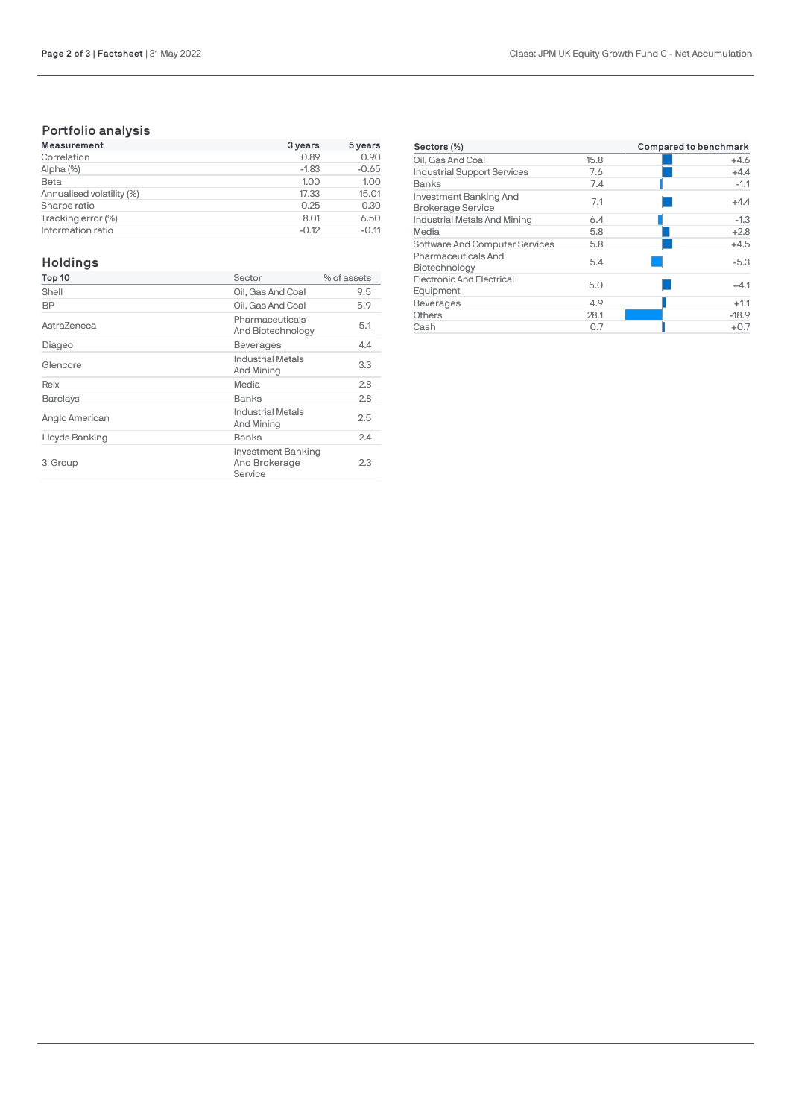# **Portfolio analysis**

| <b>Measurement</b>        | 3 years | 5 years |  |
|---------------------------|---------|---------|--|
| Correlation               | 0.89    | 0.90    |  |
| Alpha (%)                 | $-1.83$ | $-0.65$ |  |
| Beta                      | 1.00    | 1.00    |  |
| Annualised volatility (%) | 17.33   | 15.01   |  |
| Sharpe ratio              | 0.25    | 0.30    |  |
| Tracking error (%)        | 8.01    | 6.50    |  |
| Information ratio         | $-0.12$ | $-0.11$ |  |

# **Holdings**

| Top 10          | Sector                                         | % of assets |
|-----------------|------------------------------------------------|-------------|
| Shell           | Oil. Gas And Coal                              | 9.5         |
| BP              | Oil. Gas And Coal                              | 5.9         |
| AstraZeneca     | Pharmaceuticals<br>And Biotechnology           | 5.1         |
| Diageo          | <b>Beverages</b>                               | 4.4         |
| Glencore        | <b>Industrial Metals</b><br>And Mining         | 3.3         |
| Relx            | Media                                          | 2.8         |
| <b>Barclays</b> | Banks                                          | 2.8         |
| Anglo American  | <b>Industrial Metals</b><br>And Mining         | 2.5         |
| Lloyds Banking  | Banks                                          | 2.4         |
| 3i Group        | Investment Banking<br>And Brokerage<br>Service | 2.3         |

| Sectors (%)                                        |      | <b>Compared to benchmark</b> |  |  |
|----------------------------------------------------|------|------------------------------|--|--|
| Oil, Gas And Coal                                  | 15.8 | $+4.6$                       |  |  |
| <b>Industrial Support Services</b>                 | 7.6  | $+4.4$                       |  |  |
| Banks                                              | 7.4  | $-1.1$                       |  |  |
| Investment Banking And<br><b>Brokerage Service</b> | 7.1  | $+4.4$                       |  |  |
| Industrial Metals And Mining                       | 6.4  | $-1.3$                       |  |  |
| Media                                              | 5.8  | $+2.8$                       |  |  |
| Software And Computer Services                     | 5.8  | $+4.5$                       |  |  |
| Pharmaceuticals And<br>Biotechnology               | 5.4  | $-5.3$                       |  |  |
| <b>Electronic And Electrical</b><br>Equipment      | 5.0  | $+4.1$                       |  |  |
| <b>Beverages</b>                                   | 4.9  | $+1.1$                       |  |  |
| Others                                             | 28.1 | $-18.9$                      |  |  |
| Cash                                               | 0.7  | $+0.7$                       |  |  |